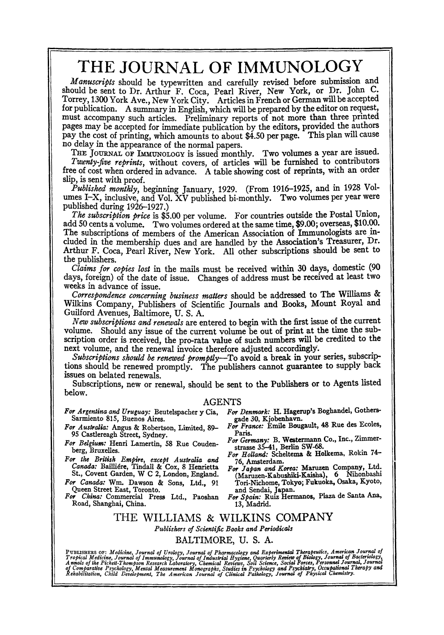## **THE JOURNAL OF IMMUNOLOGY**

*Manuscripts* **should be typewritten and carefully revised before submission and should be sent to Dr. Arthur F. Coca, Pearl River, New York, or Dr. John C. Torrey, 1300 York Ave., New York City. Articles in French or German will be accepted for publication. A summary in English, which will be prepared by the editor on request, must accompany such articles. Preliminary reports of not more than three printed pages may be accepted for immediate publication by the editors, provided the authors pay the cost of printing, which amounts to about \$4.50 per page. This plan will cause no delay in the appearance of the normal papers.** 

THE JOURNAL OF IMMUNOLOGY is issued monthly. Two volumes a year are issued. *Twenty-five reprints,* **without covers, of articles will be furnished to contributors free of cost when ordered in advance. A table showing cost of reprints, with an order slip, is sent with proof.** 

*Published monthly,* **beginning January, 1929. (From 1916-1925, and in 1928 Volumes I-X, inclusive, and Vol. XV published bi-monthly. Two volumes per year were published during 1926-1927.)** 

*The subscription price* **is \$5.00 per volume. For countries outside the Postal Union, add 50 cents a volume. Two volumes ordered at the same time, \$9.00; overseas, \$10..00. The subscriptions of members of the American Association of Immunologists are included in the membership dues and are handled by the Association's Treasurer, Dr. Arthur F. Coca, Pearl River, New York. All other subscriptions should be sent to the publishers.** 

*Claims for copies lost in* **the mails must be received within 30 days, domestic (90 days, foreign) of the date of issue. Changes of address must be received at least two weeks in advance of issue.** 

*Correspondence concerning business matters* **should be addressed to The Williams & Wilkins Company, Publishers of Scientific Journals and Books, Mount Royal and Guilford Avenues, Baltimore, U. S. A.** 

*New subscriptions and renewals* **are entered to begin with the first issue of the current**  volume. Should any issue of the current volume be out of print at the time the sub**scription order is received, the pro-rata value of such numbers will be credited to the next volume, and the renewal invoice therefore adjusted accordingly.** 

*Subscriptions should be renewed promptly--To* **avoid a break in your series, subscriptions should be renewed promptly. The publishers cannot guarantee to supply back issues on belated renewals.** 

**Subscriptions, new or renewal, should be sent to the Publishers or to Agents listed below.** 

#### **AGENTS**

- *For Argentina and Uruguay:* **Beutelspacher** y Cia, **Sarmiento 815, Buenos Aires.**
- *For Australia:* Angus & **Robertson, Limited,** 89- 95 **Castlereagh Street, Sydney.**
- For Belgium: Henri Lamertin, 58 Rue Couden**berg, BruxeUes.**
- *For the British Empire, except Australia and Canada:* BaiUi~re, Tindall & Cox, 8 **Henrietta**  St., **Covent Garden,** W C 2, London, England.

*For Canada:* Win. Dawson & Sons, Ltd., 91 **Queen Street East, Toronto.** 

*For China:* **Commercial Press Ltd., Paoshan**  Road, Shanghai, China.

- *For Denmark:* **H. Hsgemp's Boghandel, Gothers**gade 30, Kjobenhavn.
- *France:* Emile Bougault, 48 **Rue des Ecoles,**  Paris.
- For Germany: B. Westermann Co., Inc., Zimmer**strasse 35-41, Berlin** SW-68.
- For Holland: Scheltema & Holkema, Rokin 74-76, **Amsterdam.**
- *For Japan and Korea:* **Maruzen Company,** Ltd. (Maruzen-Kabushiki-Kaisha), 6 Nihonbashi **Tori-Nichome,** Tokyo; Fukuoka, Osaka, Kyoto, **and Sendal,** Japan.
- *For Spain:* **Ruiz Hermanos, Plaza de** Santa Ana, 13, Madrid.

#### THE WILLIAMS & WILKINS **COMPANY**  *Publishers of ScientQgc Books and Periodicals*  BALTIMORE, U. S. A.

Punisners or: Medicine, Journal of Urology, Journal of Pharmacology and Experimental Therapeutics, American Journal of<br>Tropical Medicine, Journal of Immunology, Journal of Industrial Hygiene, Quarterly Review of Biology, J